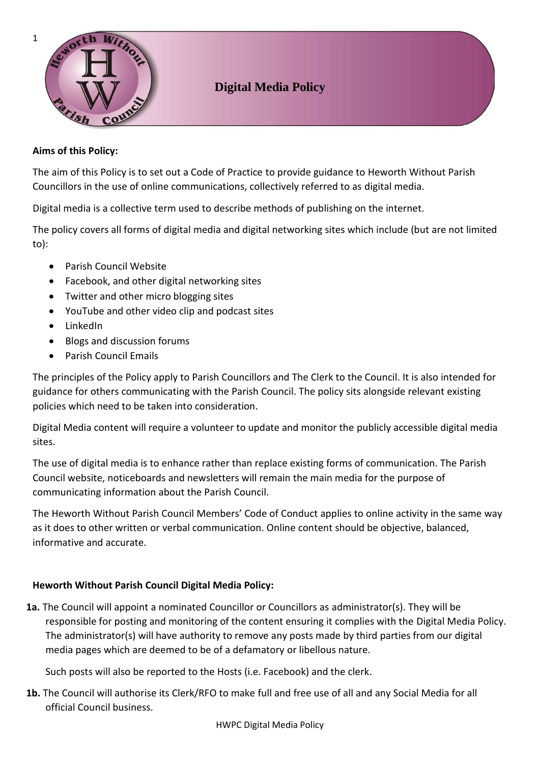

# **Digital Media Policy**

### **Aims of this Policy:**

The aim of this Policy is to set out a Code of Practice to provide guidance to Heworth Without Parish Councillors in the use of online communications, collectively referred to as digital media.

Digital media is a collective term used to describe methods of publishing on the internet.

The policy covers all forms of digital media and digital networking sites which include (but are not limited to):

- Parish Council Website
- Facebook, and other digital networking sites
- Twitter and other micro blogging sites
- YouTube and other video clip and podcast sites
- LinkedIn
- Blogs and discussion forums
- Parish Council Emails

The principles of the Policy apply to Parish Councillors and The Clerk to the Council. It is also intended for guidance for others communicating with the Parish Council. The policy sits alongside relevant existing policies which need to be taken into consideration.

Digital Media content will require a volunteer to update and monitor the publicly accessible digital media sites.

The use of digital media is to enhance rather than replace existing forms of communication. The Parish Council website, noticeboards and newsletters will remain the main media for the purpose of communicating information about the Parish Council.

The Heworth Without Parish Council Members' Code of Conduct applies to online activity in the same way as it does to other written or verbal communication. Online content should be objective, balanced, informative and accurate.

## **Heworth Without Parish Council Digital Media Policy:**

**1a.** The Council will appoint a nominated Councillor or Councillors as administrator(s). They will be responsible for posting and monitoring of the content ensuring it complies with the Digital Media Policy. The administrator(s) will have authority to remove any posts made by third parties from our digital media pages which are deemed to be of a defamatory or libellous nature.

Such posts will also be reported to the Hosts (i.e. Facebook) and the clerk.

**1b.** The Council will authorise its Clerk/RFO to make full and free use of all and any Social Media for all official Council business.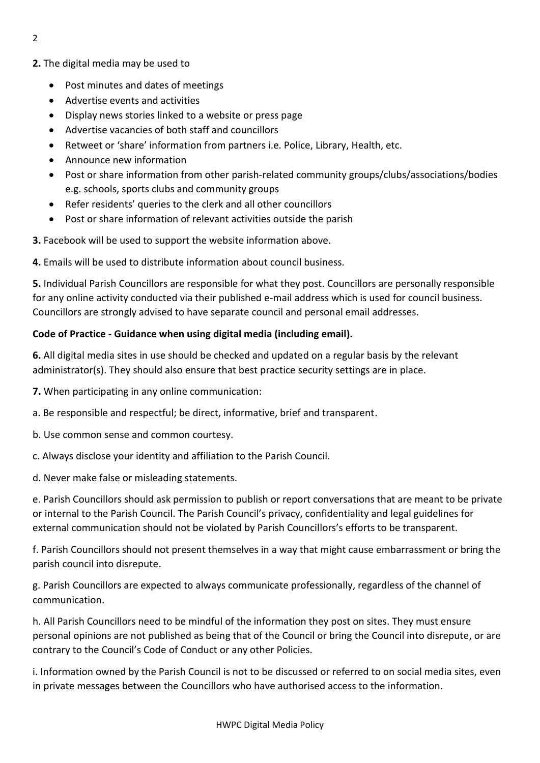- **2.** The digital media may be used to
	- Post minutes and dates of meetings
	- Advertise events and activities
	- Display news stories linked to a website or press page
	- Advertise vacancies of both staff and councillors
	- Retweet or 'share' information from partners i.e. Police, Library, Health, etc.
	- Announce new information
	- Post or share information from other parish-related community groups/clubs/associations/bodies e.g. schools, sports clubs and community groups
	- Refer residents' queries to the clerk and all other councillors
	- Post or share information of relevant activities outside the parish

**3.** Facebook will be used to support the website information above.

**4.** Emails will be used to distribute information about council business.

**5.** Individual Parish Councillors are responsible for what they post. Councillors are personally responsible for any online activity conducted via their published e-mail address which is used for council business. Councillors are strongly advised to have separate council and personal email addresses.

## **Code of Practice - Guidance when using digital media (including email).**

**6.** All digital media sites in use should be checked and updated on a regular basis by the relevant administrator(s). They should also ensure that best practice security settings are in place.

**7.** When participating in any online communication:

a. Be responsible and respectful; be direct, informative, brief and transparent.

- b. Use common sense and common courtesy.
- c. Always disclose your identity and affiliation to the Parish Council.

d. Never make false or misleading statements.

e. Parish Councillors should ask permission to publish or report conversations that are meant to be private or internal to the Parish Council. The Parish Council's privacy, confidentiality and legal guidelines for external communication should not be violated by Parish Councillors's efforts to be transparent.

f. Parish Councillors should not present themselves in a way that might cause embarrassment or bring the parish council into disrepute.

g. Parish Councillors are expected to always communicate professionally, regardless of the channel of communication.

h. All Parish Councillors need to be mindful of the information they post on sites. They must ensure personal opinions are not published as being that of the Council or bring the Council into disrepute, or are contrary to the Council's Code of Conduct or any other Policies.

i. Information owned by the Parish Council is not to be discussed or referred to on social media sites, even in private messages between the Councillors who have authorised access to the information.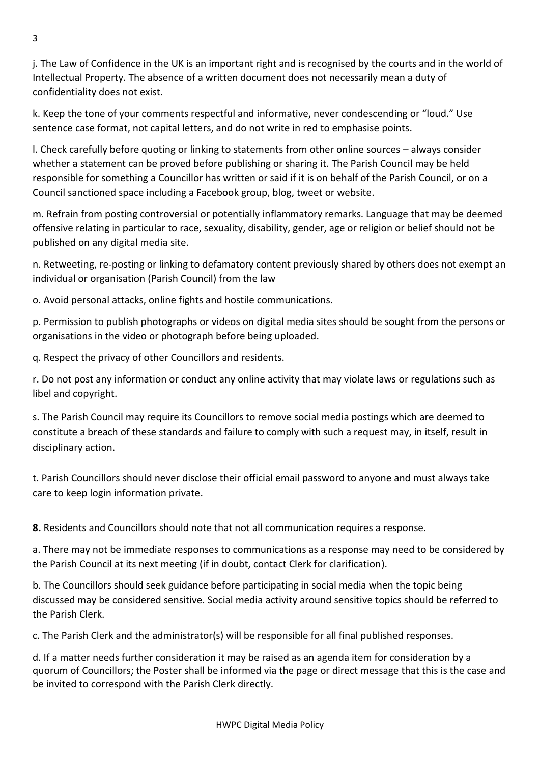j. The Law of Confidence in the UK is an important right and is recognised by the courts and in the world of Intellectual Property. The absence of a written document does not necessarily mean a duty of confidentiality does not exist.

k. Keep the tone of your comments respectful and informative, never condescending or "loud." Use sentence case format, not capital letters, and do not write in red to emphasise points.

l. Check carefully before quoting or linking to statements from other online sources – always consider whether a statement can be proved before publishing or sharing it. The Parish Council may be held responsible for something a Councillor has written or said if it is on behalf of the Parish Council, or on a Council sanctioned space including a Facebook group, blog, tweet or website.

m. Refrain from posting controversial or potentially inflammatory remarks. Language that may be deemed offensive relating in particular to race, sexuality, disability, gender, age or religion or belief should not be published on any digital media site.

n. Retweeting, re-posting or linking to defamatory content previously shared by others does not exempt an individual or organisation (Parish Council) from the law

o. Avoid personal attacks, online fights and hostile communications.

p. Permission to publish photographs or videos on digital media sites should be sought from the persons or organisations in the video or photograph before being uploaded.

q. Respect the privacy of other Councillors and residents.

r. Do not post any information or conduct any online activity that may violate laws or regulations such as libel and copyright.

s. The Parish Council may require its Councillors to remove social media postings which are deemed to constitute a breach of these standards and failure to comply with such a request may, in itself, result in disciplinary action.

t. Parish Councillors should never disclose their official email password to anyone and must always take care to keep login information private.

**8.** Residents and Councillors should note that not all communication requires a response.

a. There may not be immediate responses to communications as a response may need to be considered by the Parish Council at its next meeting (if in doubt, contact Clerk for clarification).

b. The Councillors should seek guidance before participating in social media when the topic being discussed may be considered sensitive. Social media activity around sensitive topics should be referred to the Parish Clerk.

c. The Parish Clerk and the administrator(s) will be responsible for all final published responses.

d. If a matter needs further consideration it may be raised as an agenda item for consideration by a quorum of Councillors; the Poster shall be informed via the page or direct message that this is the case and be invited to correspond with the Parish Clerk directly.